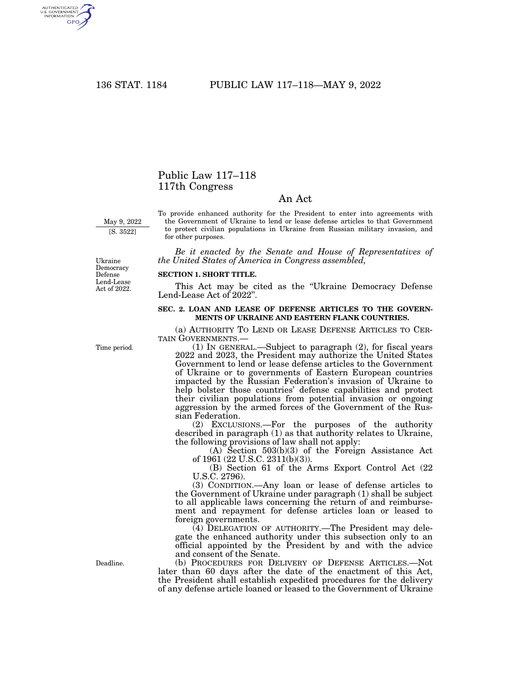AUTHENTICATED<br>U.S. GOVERNMENT<br>INFORMATION **GPO** 

## Public Law 117–118 117th Congress

## An Act

May 9, 2022 [S. 3522]

To provide enhanced authority for the President to enter into agreements with the Government of Ukraine to lend or lease defense articles to that Government to protect civilian populations in Ukraine from Russian military invasion, and for other purposes.

*Be it enacted by the Senate and House of Representatives of the United States of America in Congress assembled,* 

Ukraine Democracy Defense Lend-Lease Act of 2022.

## **SECTION 1. SHORT TITLE.**

This Act may be cited as the ''Ukraine Democracy Defense Lend-Lease Act of 2022''.

## **SEC. 2. LOAN AND LEASE OF DEFENSE ARTICLES TO THE GOVERN-MENTS OF UKRAINE AND EASTERN FLANK COUNTRIES.**

(a) AUTHORITY TO LEND OR LEASE DEFENSE ARTICLES TO CER-TAIN GOVERNMENTS.—

(1) IN GENERAL.—Subject to paragraph (2), for fiscal years 2022 and 2023, the President may authorize the United States Government to lend or lease defense articles to the Government of Ukraine or to governments of Eastern European countries impacted by the Russian Federation's invasion of Ukraine to help bolster those countries' defense capabilities and protect their civilian populations from potential invasion or ongoing aggression by the armed forces of the Government of the Russian Federation.

(2) EXCLUSIONS.—For the purposes of the authority described in paragraph (1) as that authority relates to Ukraine, the following provisions of law shall not apply:

(A) Section 503(b)(3) of the Foreign Assistance Act of 1961 (22 U.S.C. 2311(b)(3)).

(B) Section 61 of the Arms Export Control Act (22 U.S.C. 2796).

(3) CONDITION.—Any loan or lease of defense articles to the Government of Ukraine under paragraph (1) shall be subject to all applicable laws concerning the return of and reimbursement and repayment for defense articles loan or leased to foreign governments.

(4) DELEGATION OF AUTHORITY.—The President may delegate the enhanced authority under this subsection only to an official appointed by the President by and with the advice and consent of the Senate.

(b) PROCEDURES FOR DELIVERY OF DEFENSE ARTICLES.—Not later than 60 days after the date of the enactment of this Act, the President shall establish expedited procedures for the delivery of any defense article loaned or leased to the Government of Ukraine

Time period.

Deadline.